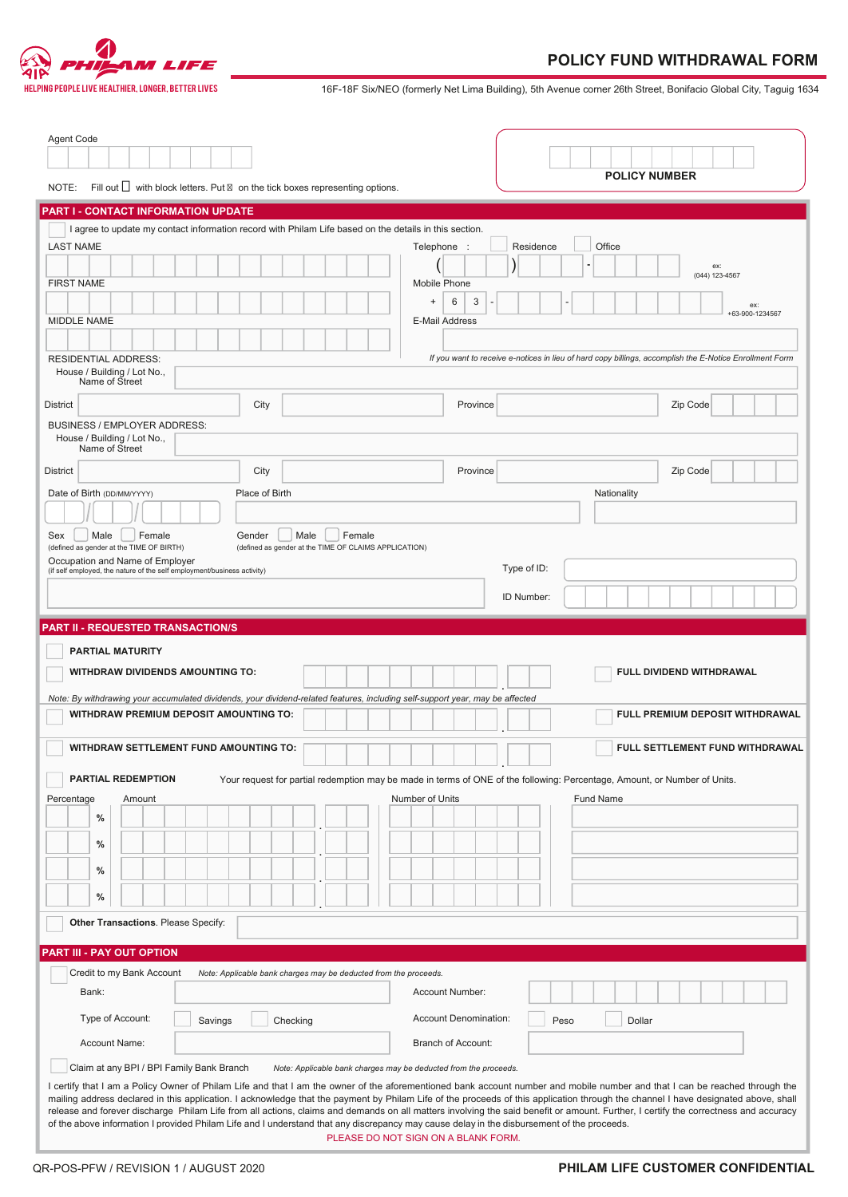

IPING PEOPLE LIVE HEALTHIER, LONGER, BETTER LIVES **16F-18F Six/NEO** (formerly Net Lima Building), 5th Avenue corner 26th Street, Bonifacio Global City, Taguig 1634

| Agent Code<br>NOTE:                                                                                                                                                                     | Fill out $\Box$ with block letters. Put on the tick boxes representing options.   |                                                                  | <b>POLICY NUMBER</b>                                                                                                                                                        |  |  |
|-----------------------------------------------------------------------------------------------------------------------------------------------------------------------------------------|-----------------------------------------------------------------------------------|------------------------------------------------------------------|-----------------------------------------------------------------------------------------------------------------------------------------------------------------------------|--|--|
|                                                                                                                                                                                         |                                                                                   |                                                                  |                                                                                                                                                                             |  |  |
| <b>PART I - CONTACT INFORMATION UPDATE</b><br>I agree to update my contact information record with Philam Life based on the details in this section.                                    |                                                                                   |                                                                  |                                                                                                                                                                             |  |  |
| <b>LAST NAME</b>                                                                                                                                                                        |                                                                                   | Telephone                                                        | Office<br>Residence                                                                                                                                                         |  |  |
|                                                                                                                                                                                         |                                                                                   |                                                                  | ex:                                                                                                                                                                         |  |  |
| <b>FIRST NAME</b>                                                                                                                                                                       |                                                                                   | Mobile Phone                                                     | (044) 123-4567                                                                                                                                                              |  |  |
|                                                                                                                                                                                         |                                                                                   | 3<br>6<br>$\overline{+}$                                         | ex:<br>+63-900-1234567                                                                                                                                                      |  |  |
| MIDDLE NAME                                                                                                                                                                             |                                                                                   | E-Mail Address                                                   |                                                                                                                                                                             |  |  |
|                                                                                                                                                                                         |                                                                                   |                                                                  |                                                                                                                                                                             |  |  |
| If you want to receive e-notices in lieu of hard copy billings, accomplish the E-Notice Enrollment Form<br><b>RESIDENTIAL ADDRESS:</b><br>House / Building / Lot No.,<br>Name of Street |                                                                                   |                                                                  |                                                                                                                                                                             |  |  |
| <b>District</b>                                                                                                                                                                         | City                                                                              | Province                                                         | Zip Code                                                                                                                                                                    |  |  |
| <b>BUSINESS / EMPLOYER ADDRESS:</b><br>House / Building / Lot No.,                                                                                                                      |                                                                                   |                                                                  |                                                                                                                                                                             |  |  |
| Name of Street                                                                                                                                                                          |                                                                                   |                                                                  |                                                                                                                                                                             |  |  |
| <b>District</b>                                                                                                                                                                         | City                                                                              | Province                                                         | Zip Code                                                                                                                                                                    |  |  |
| Date of Birth (DD/MM/YYYY)                                                                                                                                                              | Place of Birth                                                                    |                                                                  | Nationality                                                                                                                                                                 |  |  |
|                                                                                                                                                                                         |                                                                                   |                                                                  |                                                                                                                                                                             |  |  |
| Male<br>Female<br>Sex<br>(defined as gender at the TIME OF BIRTH)                                                                                                                       | Male<br>Female<br>Gender<br>(defined as gender at the TIME OF CLAIMS APPLICATION) |                                                                  |                                                                                                                                                                             |  |  |
| Occupation and Name of Employer<br>(if self employed, the nature of the self employment/business activity)                                                                              |                                                                                   | Type of ID:                                                      |                                                                                                                                                                             |  |  |
|                                                                                                                                                                                         |                                                                                   | ID Number:                                                       |                                                                                                                                                                             |  |  |
|                                                                                                                                                                                         |                                                                                   |                                                                  |                                                                                                                                                                             |  |  |
| <b>PART II - REQUESTED TRANSACTION/S</b>                                                                                                                                                |                                                                                   |                                                                  |                                                                                                                                                                             |  |  |
| <b>PARTIAL MATURITY</b><br><b>WITHDRAW DIVIDENDS AMOUNTING TO:</b>                                                                                                                      |                                                                                   |                                                                  | FULL DIVIDEND WITHDRAWAL                                                                                                                                                    |  |  |
| Note: By withdrawing your accumulated dividends, your dividend-related features, including self-support year, may be affected<br><b>WITHDRAW PREMIUM DEPOSIT AMOUNTING TO:</b>          |                                                                                   |                                                                  | FULL PREMIUM DEPOSIT WITHDRAWAL                                                                                                                                             |  |  |
| <b>WITHDRAW SETTLEMENT FUND AMOUNTING TO:</b>                                                                                                                                           |                                                                                   |                                                                  | FULL SETTLEMENT FUND WITHDRAWAL                                                                                                                                             |  |  |
| PARTIAL REDEMPTION                                                                                                                                                                      |                                                                                   |                                                                  | Your request for partial redemption may be made in terms of ONE of the following: Percentage, Amount, or Number of Units.                                                   |  |  |
| Percentage<br>Amount                                                                                                                                                                    |                                                                                   | Number of Units                                                  | Fund Name                                                                                                                                                                   |  |  |
| %                                                                                                                                                                                       |                                                                                   |                                                                  |                                                                                                                                                                             |  |  |
| %                                                                                                                                                                                       |                                                                                   |                                                                  |                                                                                                                                                                             |  |  |
|                                                                                                                                                                                         |                                                                                   |                                                                  |                                                                                                                                                                             |  |  |
| %                                                                                                                                                                                       |                                                                                   |                                                                  |                                                                                                                                                                             |  |  |
| %                                                                                                                                                                                       |                                                                                   |                                                                  |                                                                                                                                                                             |  |  |
| Other Transactions. Please Specify:                                                                                                                                                     |                                                                                   |                                                                  |                                                                                                                                                                             |  |  |
|                                                                                                                                                                                         |                                                                                   |                                                                  |                                                                                                                                                                             |  |  |
| PART III - PAY OUT OPTION<br>Credit to my Bank Account                                                                                                                                  | Note: Applicable bank charges may be deducted from the proceeds.                  |                                                                  |                                                                                                                                                                             |  |  |
| Bank:                                                                                                                                                                                   |                                                                                   | Account Number:                                                  |                                                                                                                                                                             |  |  |
|                                                                                                                                                                                         |                                                                                   |                                                                  |                                                                                                                                                                             |  |  |
| Type of Account:<br>Savings                                                                                                                                                             | Checking                                                                          | <b>Account Denomination:</b>                                     | Peso<br>Dollar                                                                                                                                                              |  |  |
| Account Name:                                                                                                                                                                           |                                                                                   | <b>Branch of Account:</b>                                        |                                                                                                                                                                             |  |  |
| Claim at any BPI / BPI Family Bank Branch                                                                                                                                               |                                                                                   | Note: Applicable bank charges may be deducted from the proceeds. | I certify that I am a Policy Owner of Philam Life and that I am the owner of the aforementioned bank account number and mobile number and that I can be reached through the |  |  |